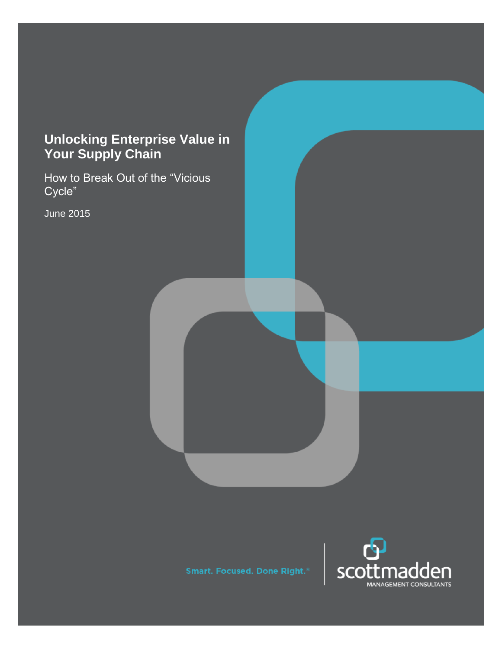# **Unlocking Enterprise Value in Your Supply Chain**

How to Break Out of the "Vicious Cycle"

June 2015

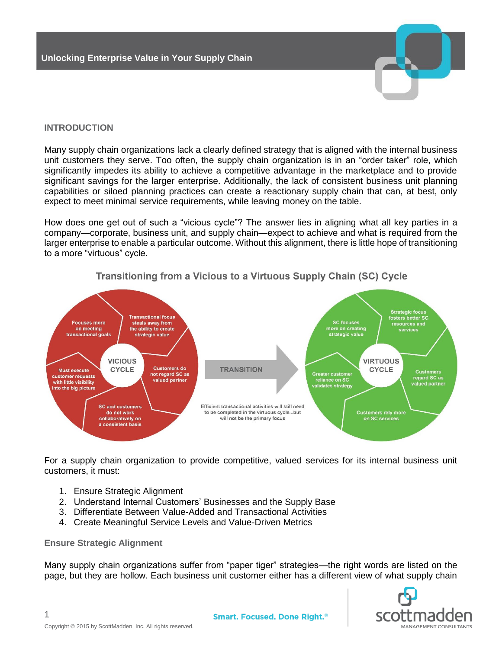

Many supply chain organizations lack a clearly defined strategy that is aligned with the internal business unit customers they serve. Too often, the supply chain organization is in an "order taker" role, which significantly impedes its ability to achieve a competitive advantage in the marketplace and to provide significant savings for the larger enterprise. Additionally, the lack of consistent business unit planning capabilities or siloed planning practices can create a reactionary supply chain that can, at best, only expect to meet minimal service requirements, while leaving money on the table.

How does one get out of such a "vicious cycle"? The answer lies in aligning what all key parties in a company—corporate, business unit, and supply chain—expect to achieve and what is required from the larger enterprise to enable a particular outcome. Without this alignment, there is little hope of transitioning to a more "virtuous" cycle.



# Transitioning from a Vicious to a Virtuous Supply Chain (SC) Cycle

For a supply chain organization to provide competitive, valued services for its internal business unit customers, it must:

- 1. Ensure Strategic Alignment
- 2. Understand Internal Customers' Businesses and the Supply Base
- 3. Differentiate Between Value-Added and Transactional Activities
- 4. Create Meaningful Service Levels and Value-Driven Metrics

#### **Ensure Strategic Alignment**

1

Many supply chain organizations suffer from "paper tiger" strategies—the right words are listed on the page, but they are hollow. Each business unit customer either has a different view of what supply chain

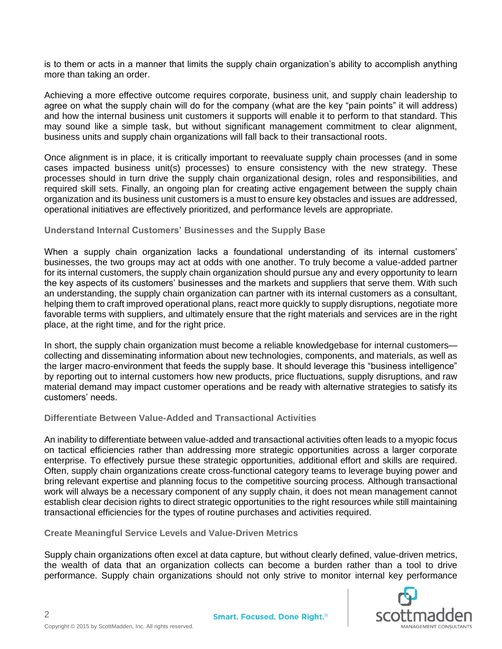is to them or acts in a manner that limits the supply chain organization's ability to accomplish anything more than taking an order.

Achieving a more effective outcome requires corporate, business unit, and supply chain leadership to agree on what the supply chain will do for the company (what are the key "pain points" it will address) and how the internal business unit customers it supports will enable it to perform to that standard. This may sound like a simple task, but without significant management commitment to clear alignment, business units and supply chain organizations will fall back to their transactional roots.

Once alignment is in place, it is critically important to reevaluate supply chain processes (and in some cases impacted business unit(s) processes) to ensure consistency with the new strategy. These processes should in turn drive the supply chain organizational design, roles and responsibilities, and required skill sets. Finally, an ongoing plan for creating active engagement between the supply chain organization and its business unit customers is a must to ensure key obstacles and issues are addressed, operational initiatives are effectively prioritized, and performance levels are appropriate.

# **Understand Internal Customers' Businesses and the Supply Base**

When a supply chain organization lacks a foundational understanding of its internal customers' businesses, the two groups may act at odds with one another. To truly become a value-added partner for its internal customers, the supply chain organization should pursue any and every opportunity to learn the key aspects of its customers' businesses and the markets and suppliers that serve them. With such an understanding, the supply chain organization can partner with its internal customers as a consultant, helping them to craft improved operational plans, react more quickly to supply disruptions, negotiate more favorable terms with suppliers, and ultimately ensure that the right materials and services are in the right place, at the right time, and for the right price.

In short, the supply chain organization must become a reliable knowledgebase for internal customers collecting and disseminating information about new technologies, components, and materials, as well as the larger macro-environment that feeds the supply base. It should leverage this "business intelligence" by reporting out to internal customers how new products, price fluctuations, supply disruptions, and raw material demand may impact customer operations and be ready with alternative strategies to satisfy its customers' needs.

#### **Differentiate Between Value-Added and Transactional Activities**

An inability to differentiate between value-added and transactional activities often leads to a myopic focus on tactical efficiencies rather than addressing more strategic opportunities across a larger corporate enterprise. To effectively pursue these strategic opportunities, additional effort and skills are required. Often, supply chain organizations create cross-functional category teams to leverage buying power and bring relevant expertise and planning focus to the competitive sourcing process. Although transactional work will always be a necessary component of any supply chain, it does not mean management cannot establish clear decision rights to direct strategic opportunities to the right resources while still maintaining transactional efficiencies for the types of routine purchases and activities required.

**Create Meaningful Service Levels and Value-Driven Metrics**

Supply chain organizations often excel at data capture, but without clearly defined, value-driven metrics, the wealth of data that an organization collects can become a burden rather than a tool to drive performance. Supply chain organizations should not only strive to monitor internal key performance